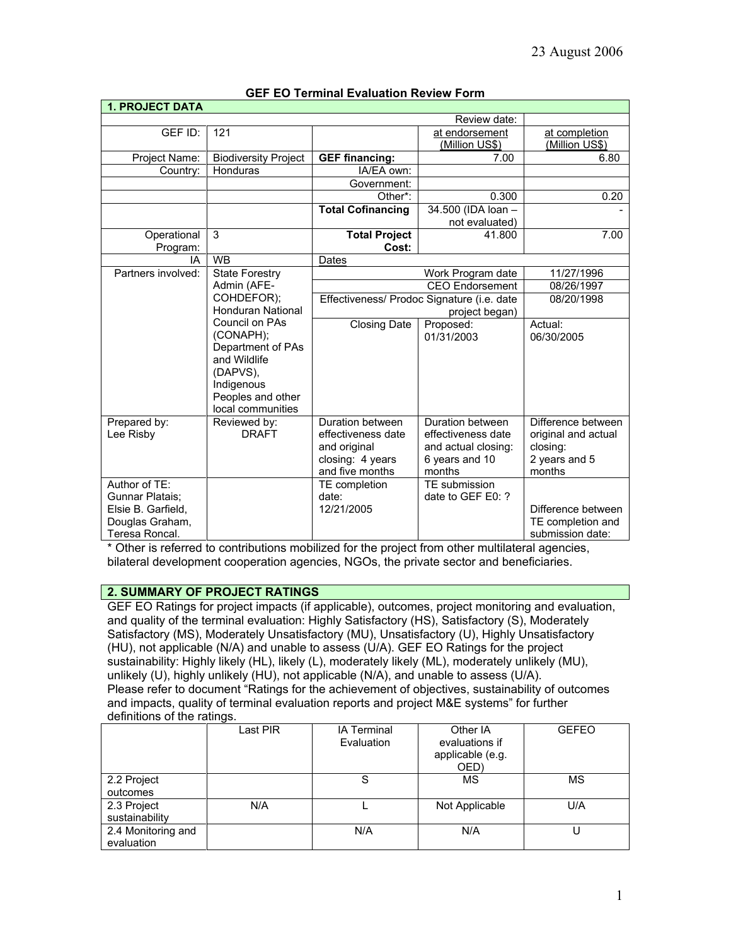| <b>1. PROJECT DATA</b>                           |                             |                                                                      |                     |                     |
|--------------------------------------------------|-----------------------------|----------------------------------------------------------------------|---------------------|---------------------|
|                                                  |                             |                                                                      | Review date:        |                     |
| GEF ID:                                          | 121                         |                                                                      | at endorsement      | at completion       |
|                                                  |                             |                                                                      | (Million US\$)      | (Million US\$)      |
| Project Name:                                    | <b>Biodiversity Project</b> | <b>GEF financing:</b>                                                | 7.00                | 6.80                |
| Country:                                         | <b>Honduras</b>             | IA/EA own:                                                           |                     |                     |
|                                                  |                             | Government:                                                          |                     |                     |
|                                                  |                             | Other <sup>*</sup> :                                                 | 0.300               | 0.20                |
|                                                  |                             | <b>Total Cofinancing</b>                                             | 34.500 (IDA loan -  |                     |
|                                                  |                             |                                                                      | not evaluated)      |                     |
| Operational                                      | 3                           | <b>Total Project</b>                                                 | 41.800              | 7.00                |
| Program:                                         |                             | Cost:                                                                |                     |                     |
| IA                                               | <b>WB</b>                   | Dates                                                                |                     |                     |
| Partners involved:                               | <b>State Forestry</b>       |                                                                      | Work Program date   | 11/27/1996          |
|                                                  | Admin (AFE-                 | <b>CEO</b> Endorsement<br>Effectiveness/ Prodoc Signature (i.e. date |                     | 08/26/1997          |
|                                                  | COHDEFOR);                  |                                                                      |                     | 08/20/1998          |
|                                                  | <b>Honduran National</b>    | project began)                                                       |                     |                     |
|                                                  | Council on PAs              | <b>Closing Date</b>                                                  | Proposed:           | Actual:             |
|                                                  | (CONAPH);                   |                                                                      | 01/31/2003          | 06/30/2005          |
|                                                  | Department of PAs           |                                                                      |                     |                     |
|                                                  | and Wildlife                |                                                                      |                     |                     |
|                                                  | (DAPVS),                    |                                                                      |                     |                     |
|                                                  | Indigenous                  |                                                                      |                     |                     |
|                                                  | Peoples and other           |                                                                      |                     |                     |
|                                                  | local communities           |                                                                      |                     |                     |
| Prepared by:                                     | Reviewed by:                | Duration between                                                     | Duration between    | Difference between  |
| Lee Risby                                        | <b>DRAFT</b>                | effectiveness date                                                   | effectiveness date  | original and actual |
|                                                  |                             | and original                                                         | and actual closing: | closing:            |
|                                                  |                             | closing: 4 years                                                     | 6 years and 10      | 2 years and 5       |
|                                                  |                             | and five months                                                      | months              | months              |
| Author of TE:                                    |                             | TE completion                                                        | TE submission       |                     |
| Gunnar Platais;                                  |                             | date:                                                                | date to GEF E0: ?   |                     |
| Elsie B. Garfield,                               |                             | 12/21/2005                                                           |                     | Difference between  |
| Douglas Graham,                                  |                             |                                                                      |                     | TE completion and   |
| Teresa Roncal.<br>$\sim$ $\sim$ $\sim$<br>$\sim$ |                             |                                                                      |                     | submission date:    |

# **GEF EO Terminal Evaluation Review Form**

\* Other is referred to contributions mobilized for the project from other multilateral agencies, bilateral development cooperation agencies, NGOs, the private sector and beneficiaries.

# **2. SUMMARY OF PROJECT RATINGS**

GEF EO Ratings for project impacts (if applicable), outcomes, project monitoring and evaluation, and quality of the terminal evaluation: Highly Satisfactory (HS), Satisfactory (S), Moderately Satisfactory (MS), Moderately Unsatisfactory (MU), Unsatisfactory (U), Highly Unsatisfactory (HU), not applicable (N/A) and unable to assess (U/A). GEF EO Ratings for the project sustainability: Highly likely (HL), likely (L), moderately likely (ML), moderately unlikely (MU), unlikely (U), highly unlikely (HU), not applicable (N/A), and unable to assess (U/A). Please refer to document "Ratings for the achievement of objectives, sustainability of outcomes and impacts, quality of terminal evaluation reports and project M&E systems" for further definitions of the ratings.

|                                  | Last PIR | <b>IA Terminal</b><br>Evaluation | Other IA<br>evaluations if<br>applicable (e.g.<br>OED) | <b>GEFEO</b> |
|----------------------------------|----------|----------------------------------|--------------------------------------------------------|--------------|
| 2.2 Project<br>outcomes          |          | S                                | MS                                                     | MS           |
| 2.3 Project<br>sustainability    | N/A      |                                  | Not Applicable                                         | U/A          |
| 2.4 Monitoring and<br>evaluation |          | N/A                              | N/A                                                    |              |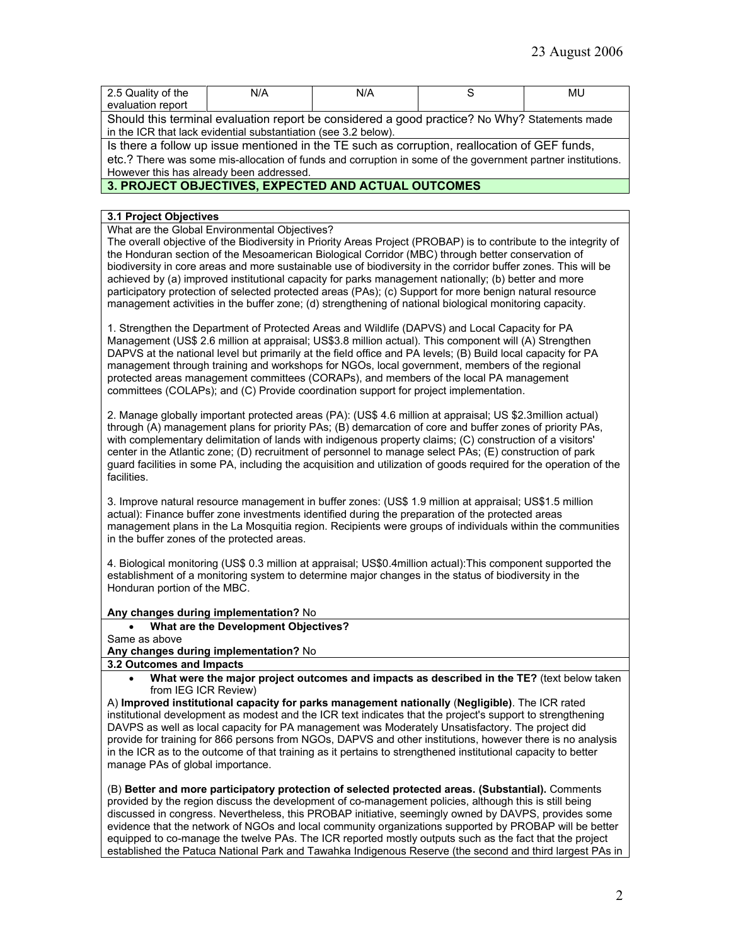| 2.5 Quality of the                                                                                          | N/A | N/A |  | MU |
|-------------------------------------------------------------------------------------------------------------|-----|-----|--|----|
| evaluation report                                                                                           |     |     |  |    |
| Should this terminal evaluation report be considered a good practice? No Why? Statements made               |     |     |  |    |
| in the ICR that lack evidential substantiation (see 3.2 below).                                             |     |     |  |    |
| Is there a follow up issue mentioned in the TE such as corruption, reallocation of GEF funds,               |     |     |  |    |
| etc.? There was some mis-allocation of funds and corruption in some of the government partner institutions. |     |     |  |    |
| However this has already been addressed.                                                                    |     |     |  |    |

# **3. PROJECT OBJECTIVES, EXPECTED AND ACTUAL OUTCOMES**

### **3.1 Project Objectives**

What are the Global Environmental Objectives?

The overall objective of the Biodiversity in Priority Areas Project (PROBAP) is to contribute to the integrity of the Honduran section of the Mesoamerican Biological Corridor (MBC) through better conservation of biodiversity in core areas and more sustainable use of biodiversity in the corridor buffer zones. This will be achieved by (a) improved institutional capacity for parks management nationally; (b) better and more participatory protection of selected protected areas (PAs); (c) Support for more benign natural resource management activities in the buffer zone; (d) strengthening of national biological monitoring capacity.

1. Strengthen the Department of Protected Areas and Wildlife (DAPVS) and Local Capacity for PA Management (US\$ 2.6 million at appraisal; US\$3.8 million actual). This component will (A) Strengthen DAPVS at the national level but primarily at the field office and PA levels; (B) Build local capacity for PA management through training and workshops for NGOs, local government, members of the regional protected areas management committees (CORAPs), and members of the local PA management committees (COLAPs); and (C) Provide coordination support for project implementation.

2. Manage globally important protected areas (PA): (US\$ 4.6 million at appraisal; US \$2.3million actual) through (A) management plans for priority PAs; (B) demarcation of core and buffer zones of priority PAs, with complementary delimitation of lands with indigenous property claims; (C) construction of a visitors' center in the Atlantic zone; (D) recruitment of personnel to manage select PAs; (E) construction of park guard facilities in some PA, including the acquisition and utilization of goods required for the operation of the facilities.

3. Improve natural resource management in buffer zones: (US\$ 1.9 million at appraisal; US\$1.5 million actual): Finance buffer zone investments identified during the preparation of the protected areas management plans in the La Mosquitia region. Recipients were groups of individuals within the communities in the buffer zones of the protected areas.

4. Biological monitoring (US\$ 0.3 million at appraisal; US\$0.4million actual):This component supported the establishment of a monitoring system to determine major changes in the status of biodiversity in the Honduran portion of the MBC.

### **Any changes during implementation?** No

• **What are the Development Objectives?** 

Same as above

### **Any changes during implementation?** No

- **3.2 Outcomes and Impacts**
	- **What were the major project outcomes and impacts as described in the TE?** (text below taken from IEG ICR Review)

A) **Improved institutional capacity for parks management nationally** (**Negligible)**. The ICR rated institutional development as modest and the ICR text indicates that the project's support to strengthening DAVPS as well as local capacity for PA management was Moderately Unsatisfactory. The project did provide for training for 866 persons from NGOs, DAPVS and other institutions, however there is no analysis in the ICR as to the outcome of that training as it pertains to strengthened institutional capacity to better manage PAs of global importance.

(B) **Better and more participatory protection of selected protected areas. (Substantial).** Comments provided by the region discuss the development of co-management policies, although this is still being discussed in congress. Nevertheless, this PROBAP initiative, seemingly owned by DAVPS, provides some evidence that the network of NGOs and local community organizations supported by PROBAP will be better equipped to co-manage the twelve PAs. The ICR reported mostly outputs such as the fact that the project established the Patuca National Park and Tawahka Indigenous Reserve (the second and third largest PAs in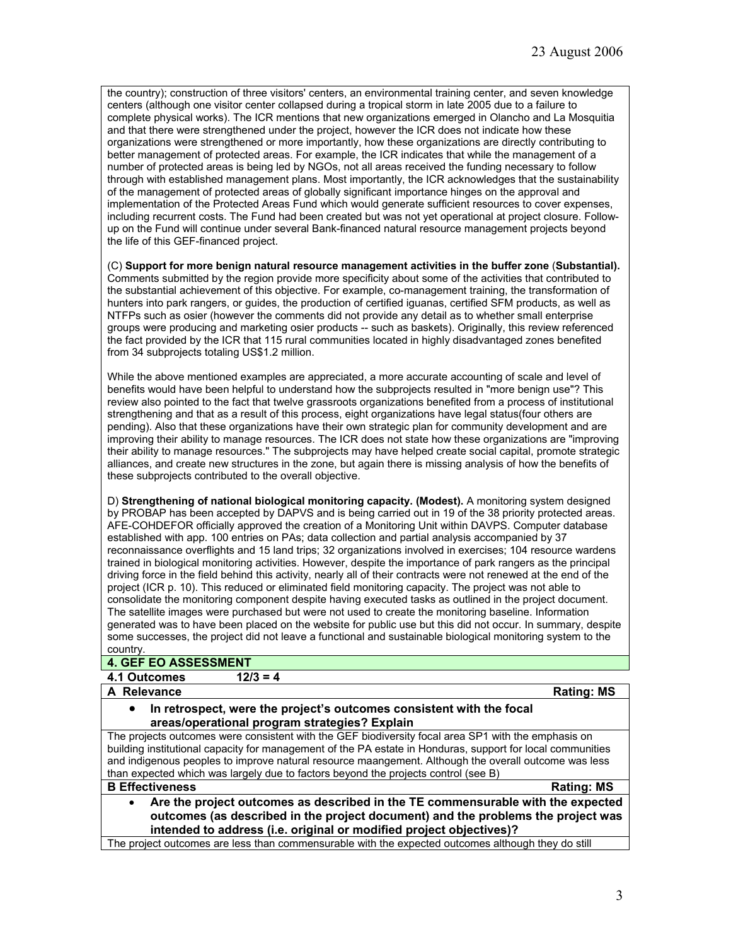the country); construction of three visitors' centers, an environmental training center, and seven knowledge centers (although one visitor center collapsed during a tropical storm in late 2005 due to a failure to complete physical works). The ICR mentions that new organizations emerged in Olancho and La Mosquitia and that there were strengthened under the project, however the ICR does not indicate how these organizations were strengthened or more importantly, how these organizations are directly contributing to better management of protected areas. For example, the ICR indicates that while the management of a number of protected areas is being led by NGOs, not all areas received the funding necessary to follow through with established management plans. Most importantly, the ICR acknowledges that the sustainability of the management of protected areas of globally significant importance hinges on the approval and implementation of the Protected Areas Fund which would generate sufficient resources to cover expenses, including recurrent costs. The Fund had been created but was not yet operational at project closure. Followup on the Fund will continue under several Bank-financed natural resource management projects beyond the life of this GEF-financed project.

(C) **Support for more benign natural resource management activities in the buffer zone** (**Substantial).**  Comments submitted by the region provide more specificity about some of the activities that contributed to the substantial achievement of this objective. For example, co-management training, the transformation of hunters into park rangers, or guides, the production of certified iguanas, certified SFM products, as well as NTFPs such as osier (however the comments did not provide any detail as to whether small enterprise groups were producing and marketing osier products -- such as baskets). Originally, this review referenced the fact provided by the ICR that 115 rural communities located in highly disadvantaged zones benefited from 34 subprojects totaling US\$1.2 million.

While the above mentioned examples are appreciated, a more accurate accounting of scale and level of benefits would have been helpful to understand how the subprojects resulted in "more benign use"? This review also pointed to the fact that twelve grassroots organizations benefited from a process of institutional strengthening and that as a result of this process, eight organizations have legal status(four others are pending). Also that these organizations have their own strategic plan for community development and are improving their ability to manage resources. The ICR does not state how these organizations are "improving their ability to manage resources." The subprojects may have helped create social capital, promote strategic alliances, and create new structures in the zone, but again there is missing analysis of how the benefits of these subprojects contributed to the overall objective.

D) **Strengthening of national biological monitoring capacity. (Modest).** A monitoring system designed by PROBAP has been accepted by DAPVS and is being carried out in 19 of the 38 priority protected areas. AFE-COHDEFOR officially approved the creation of a Monitoring Unit within DAVPS. Computer database established with app. 100 entries on PAs; data collection and partial analysis accompanied by 37 reconnaissance overflights and 15 land trips; 32 organizations involved in exercises; 104 resource wardens trained in biological monitoring activities. However, despite the importance of park rangers as the principal driving force in the field behind this activity, nearly all of their contracts were not renewed at the end of the project (ICR p. 10). This reduced or eliminated field monitoring capacity. The project was not able to consolidate the monitoring component despite having executed tasks as outlined in the project document. The satellite images were purchased but were not used to create the monitoring baseline. Information generated was to have been placed on the website for public use but this did not occur. In summary, despite some successes, the project did not leave a functional and sustainable biological monitoring system to the country.

### **4. GEF EO ASSESSMENT**

### **4.1 Outcomes 12/3 = 4**

### **A Relevance Rating: MS**

• **In retrospect, were the project's outcomes consistent with the focal areas/operational program strategies? Explain**

The projects outcomes were consistent with the GEF biodiversity focal area SP1 with the emphasis on building institutional capacity for management of the PA estate in Honduras, support for local communities and indigenous peoples to improve natural resource maangement. Although the overall outcome was less than expected which was largely due to factors beyond the projects control (see B)

### **B Effectiveness** Rating: MS

• **Are the project outcomes as described in the TE commensurable with the expected outcomes (as described in the project document) and the problems the project was intended to address (i.e. original or modified project objectives)?** 

The project outcomes are less than commensurable with the expected outcomes although they do still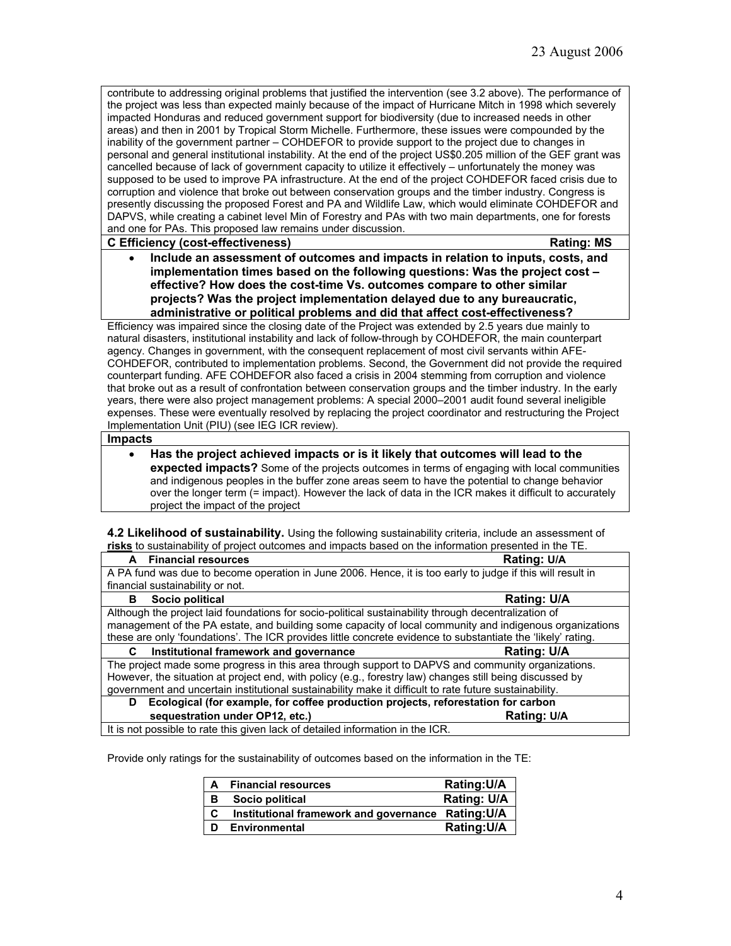contribute to addressing original problems that justified the intervention (see 3.2 above). The performance of the project was less than expected mainly because of the impact of Hurricane Mitch in 1998 which severely impacted Honduras and reduced government support for biodiversity (due to increased needs in other areas) and then in 2001 by Tropical Storm Michelle. Furthermore, these issues were compounded by the inability of the government partner – COHDEFOR to provide support to the project due to changes in personal and general institutional instability. At the end of the project US\$0.205 million of the GEF grant was cancelled because of lack of government capacity to utilize it effectively – unfortunately the money was supposed to be used to improve PA infrastructure. At the end of the project COHDEFOR faced crisis due to corruption and violence that broke out between conservation groups and the timber industry. Congress is presently discussing the proposed Forest and PA and Wildlife Law, which would eliminate COHDEFOR and DAPVS, while creating a cabinet level Min of Forestry and PAs with two main departments, one for forests and one for PAs. This proposed law remains under discussion.

### **C Efficiency (cost-effectiveness) Rating: MS**

• **Include an assessment of outcomes and impacts in relation to inputs, costs, and implementation times based on the following questions: Was the project cost – effective? How does the cost-time Vs. outcomes compare to other similar projects? Was the project implementation delayed due to any bureaucratic, administrative or political problems and did that affect cost-effectiveness?**

Efficiency was impaired since the closing date of the Project was extended by 2.5 years due mainly to natural disasters, institutional instability and lack of follow-through by COHDEFOR, the main counterpart agency. Changes in government, with the consequent replacement of most civil servants within AFE-COHDEFOR, contributed to implementation problems. Second, the Government did not provide the required counterpart funding. AFE COHDEFOR also faced a crisis in 2004 stemming from corruption and violence that broke out as a result of confrontation between conservation groups and the timber industry. In the early years, there were also project management problems: A special 2000–2001 audit found several ineligible expenses. These were eventually resolved by replacing the project coordinator and restructuring the Project Implementation Unit (PIU) (see IEG ICR review).

### **Impacts**

• **Has the project achieved impacts or is it likely that outcomes will lead to the expected impacts?** Some of the projects outcomes in terms of engaging with local communities and indigenous peoples in the buffer zone areas seem to have the potential to change behavior over the longer term (= impact). However the lack of data in the ICR makes it difficult to accurately project the impact of the project

**4.2 Likelihood of sustainability.** Using the following sustainability criteria, include an assessment of **risks** to sustainability of project outcomes and impacts based on the information presented in the TE.

| A Financial resources                                                                                    |                                                                                                              | Rating: U/A                                                                                             |  |
|----------------------------------------------------------------------------------------------------------|--------------------------------------------------------------------------------------------------------------|---------------------------------------------------------------------------------------------------------|--|
|                                                                                                          | A PA fund was due to become operation in June 2006. Hence, it is too early to judge if this will result in   |                                                                                                         |  |
| financial sustainability or not.                                                                         |                                                                                                              |                                                                                                         |  |
| Socio political<br>в                                                                                     |                                                                                                              | <b>Rating: U/A</b>                                                                                      |  |
|                                                                                                          | Although the project laid foundations for socio-political sustainability through decentralization of         |                                                                                                         |  |
|                                                                                                          |                                                                                                              | management of the PA estate, and building some capacity of local community and indigenous organizations |  |
|                                                                                                          | these are only 'foundations'. The ICR provides little concrete evidence to substantiate the 'likely' rating. |                                                                                                         |  |
| С                                                                                                        | Institutional framework and governance                                                                       | <b>Rating: U/A</b>                                                                                      |  |
|                                                                                                          | The project made some progress in this area through support to DAPVS and community organizations.            |                                                                                                         |  |
| However, the situation at project end, with policy (e.g., forestry law) changes still being discussed by |                                                                                                              |                                                                                                         |  |
| government and uncertain institutional sustainability make it difficult to rate future sustainability.   |                                                                                                              |                                                                                                         |  |
| Ecological (for example, for coffee production projects, reforestation for carbon<br>D                   |                                                                                                              |                                                                                                         |  |
| sequestration under OP12, etc.)                                                                          |                                                                                                              | Rating: U/A                                                                                             |  |
|                                                                                                          | It is not possible to rate this given lack of detailed information in the ICR.                               |                                                                                                         |  |

Provide only ratings for the sustainability of outcomes based on the information in the TE:

| A | <b>Financial resources</b>                         | Rating: U/A |
|---|----------------------------------------------------|-------------|
| в | Socio political                                    | Rating: U/A |
| C | Institutional framework and governance Rating: U/A |             |
| D | <b>Environmental</b>                               | Rating: U/A |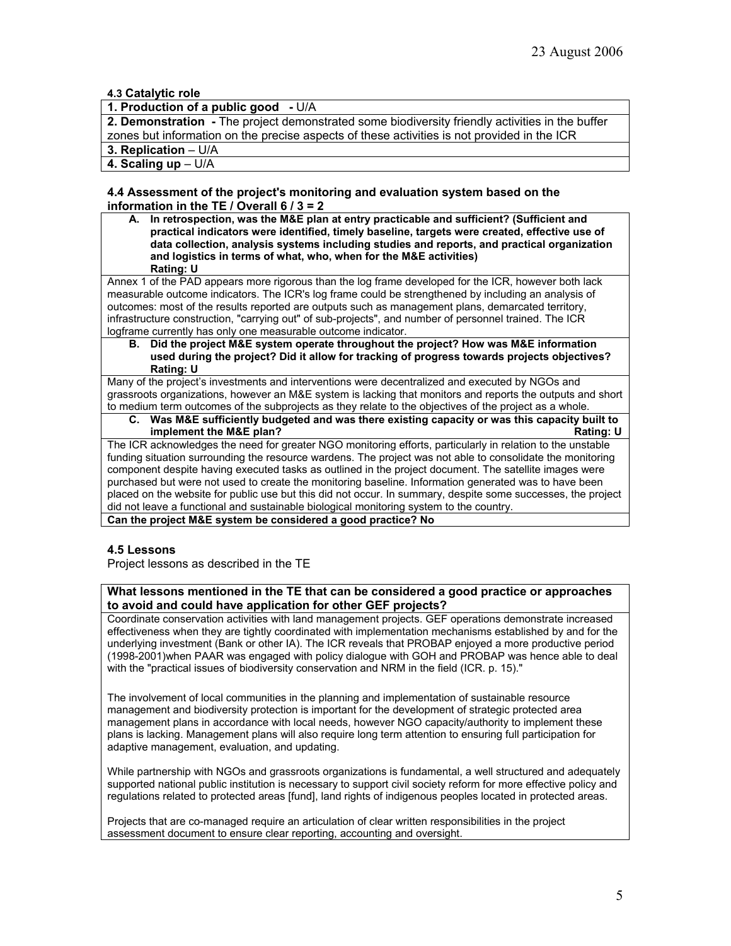# **4.3 Catalytic role**

# **1. Production of a public good -** U/A

**2. Demonstration -** The project demonstrated some biodiversity friendly activities in the buffer zones but information on the precise aspects of these activities is not provided in the ICR **3. Replication** – U/A

**4. Scaling up** – U/A

### **4.4 Assessment of the project's monitoring and evaluation system based on the information in the TE / Overall 6 / 3 = 2**

**A. In retrospection, was the M&E plan at entry practicable and sufficient? (Sufficient and practical indicators were identified, timely baseline, targets were created, effective use of data collection, analysis systems including studies and reports, and practical organization and logistics in terms of what, who, when for the M&E activities) Rating: U**

Annex 1 of the PAD appears more rigorous than the log frame developed for the ICR, however both lack measurable outcome indicators. The ICR's log frame could be strengthened by including an analysis of outcomes: most of the results reported are outputs such as management plans, demarcated territory, infrastructure construction, "carrying out" of sub-projects", and number of personnel trained. The ICR logframe currently has only one measurable outcome indicator.

**B. Did the project M&E system operate throughout the project? How was M&E information used during the project? Did it allow for tracking of progress towards projects objectives? Rating: U**

Many of the project's investments and interventions were decentralized and executed by NGOs and grassroots organizations, however an M&E system is lacking that monitors and reports the outputs and short to medium term outcomes of the subprojects as they relate to the objectives of the project as a whole.

**C. Was M&E sufficiently budgeted and was there existing capacity or was this capacity built to implement the M&E plan?** 

The ICR acknowledges the need for greater NGO monitoring efforts, particularly in relation to the unstable funding situation surrounding the resource wardens. The project was not able to consolidate the monitoring component despite having executed tasks as outlined in the project document. The satellite images were purchased but were not used to create the monitoring baseline. Information generated was to have been placed on the website for public use but this did not occur. In summary, despite some successes, the project did not leave a functional and sustainable biological monitoring system to the country.

**Can the project M&E system be considered a good practice? No**

### **4.5 Lessons**

Project lessons as described in the TE

### **What lessons mentioned in the TE that can be considered a good practice or approaches to avoid and could have application for other GEF projects?**

Coordinate conservation activities with land management projects. GEF operations demonstrate increased effectiveness when they are tightly coordinated with implementation mechanisms established by and for the underlying investment (Bank or other IA). The ICR reveals that PROBAP enjoyed a more productive period (1998-2001)when PAAR was engaged with policy dialogue with GOH and PROBAP was hence able to deal with the "practical issues of biodiversity conservation and NRM in the field (ICR. p. 15)."

The involvement of local communities in the planning and implementation of sustainable resource management and biodiversity protection is important for the development of strategic protected area management plans in accordance with local needs, however NGO capacity/authority to implement these plans is lacking. Management plans will also require long term attention to ensuring full participation for adaptive management, evaluation, and updating.

While partnership with NGOs and grassroots organizations is fundamental, a well structured and adequately supported national public institution is necessary to support civil society reform for more effective policy and regulations related to protected areas [fund], land rights of indigenous peoples located in protected areas.

Projects that are co-managed require an articulation of clear written responsibilities in the project assessment document to ensure clear reporting, accounting and oversight.